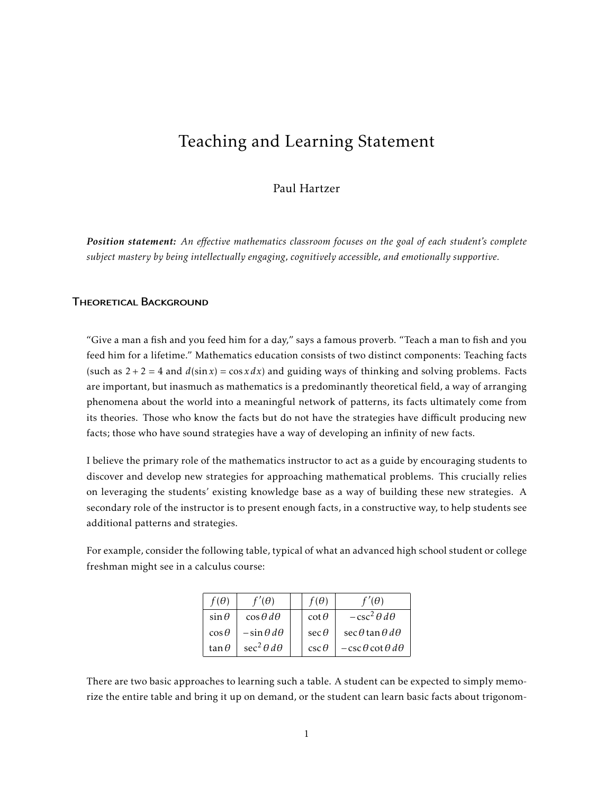# Teaching and Learning Statement

## Paul Hartzer

*Position statement: An effective mathematics classroom focuses on the goal of each student's complete subject mastery by being intellectually engaging, cognitively accessible, and emotionally supportive.*

#### **THEORETICAL BACKGROUND**

"Give a man a fish and you feed him for a day," says a famous proverb. "Teach a man to fish and you feed him for a lifetime." Mathematics education consists of two distinct components: Teaching facts (such as  $2 + 2 = 4$  and  $d(\sin x) = \cos x dx$ ) and guiding ways of thinking and solving problems. Facts are important, but inasmuch as mathematics is a predominantly theoretical field, a way of arranging phenomena about the world into a meaningful network of patterns, its facts ultimately come from its theories. Those who know the facts but do not have the strategies have difficult producing new facts; those who have sound strategies have a way of developing an infinity of new facts.

I believe the primary role of the mathematics instructor to act as a guide by encouraging students to discover and develop new strategies for approaching mathematical problems. This crucially relies on leveraging the students' existing knowledge base as a way of building these new strategies. A secondary role of the instructor is to present enough facts, in a constructive way, to help students see additional patterns and strategies.

For example, consider the following table, typical of what an advanced high school student or college freshman might see in a calculus course:

| $f(\theta)$   | $f'(\theta)$            | $f(\theta)$   | $f'(\theta)$                     |
|---------------|-------------------------|---------------|----------------------------------|
| $\sin \theta$ | $\cos\theta d\theta$    | $\cot \theta$ | $-csc^2\theta d\theta$           |
| $\cos\theta$  | $-\sin\theta d\theta$   | $\sec \theta$ | $\sec\theta\tan\theta d\theta$   |
| tan $\theta$  | $\sec^2 \theta d\theta$ | $csc\theta$   | $-\csc\theta \cot\theta d\theta$ |

There are two basic approaches to learning such a table. A student can be expected to simply memorize the entire table and bring it up on demand, or the student can learn basic facts about trigonom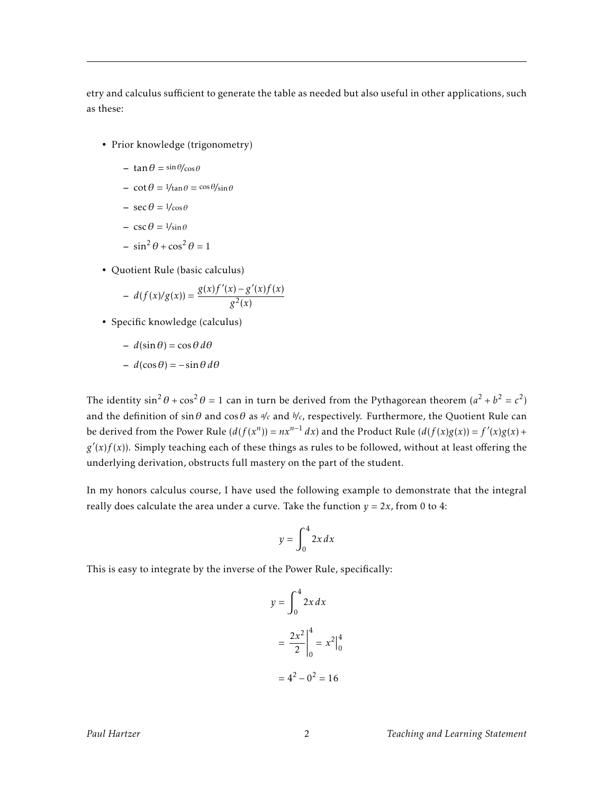etry and calculus sufficient to generate the table as needed but also useful in other applications, such as these:

- Prior knowledge (trigonometry)
	- $-$  tan  $\theta$  = sin $\theta$ /cos $\theta$
	- cot*θ* = 1*/*tan*θ* = cos*θ/*sin*θ*
	- $-$  sec  $\theta = \frac{1}{\cos \theta}$
	- csc*θ* = 1*/*sin*θ*
	- $-\sin^2\theta + \cos^2\theta = 1$
- Quotient Rule (basic calculus)

$$
- d(f(x)/g(x)) = \frac{g(x)f'(x) - g'(x)f(x)}{g^2(x)}
$$

• Specific knowledge (calculus)

$$
- d(\sin \theta) = \cos \theta \, d\theta
$$

$$
- d(\cos \theta) = -\sin \theta d\theta
$$

The identity  $\sin^2 \theta + \cos^2 \theta = 1$  can in turn be derived from the Pythagorean theorem  $(a^2 + b^2 = c^2)$ and the definition of  $\sin\theta$  and  $\cos\theta$  as  $\psi_c$  and  $\psi_c$ , respectively. Furthermore, the Quotient Rule can be derived from the Power Rule  $(d(f(x^n)) = nx^{n-1} dx)$  and the Product Rule  $(d(f(x)g(x)) = f'(x)g(x) +$  $g'(x) f(x)$ ). Simply teaching each of these things as rules to be followed, without at least offering the underlying derivation, obstructs full mastery on the part of the student.

In my honors calculus course, I have used the following example to demonstrate that the integral really does calculate the area under a curve. Take the function  $y = 2x$ , from 0 to 4:

$$
y = \int_0^4 2x \, dx
$$

This is easy to integrate by the inverse of the Power Rule, specifically:

$$
y = \int_0^4 2x \, dx
$$
  
=  $\left. \frac{2x^2}{2} \right|_0^4 = x^2 \Big|_0^4$   
=  $4^2 - 0^2 = 16$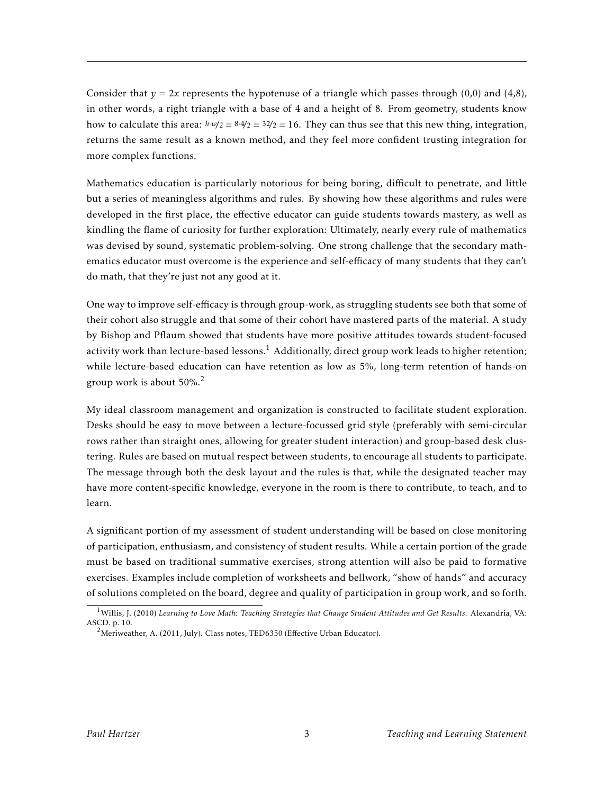Consider that  $y = 2x$  represents the hypotenuse of a triangle which passes through (0,0) and (4,8), in other words, a right triangle with a base of 4 and a height of 8. From geometry, students know how to calculate this area:  $h \cdot w/2 = 8.4/2 = 32/2 = 16$ . They can thus see that this new thing, integration, returns the same result as a known method, and they feel more confident trusting integration for more complex functions.

Mathematics education is particularly notorious for being boring, difficult to penetrate, and little but a series of meaningless algorithms and rules. By showing how these algorithms and rules were developed in the first place, the effective educator can guide students towards mastery, as well as kindling the flame of curiosity for further exploration: Ultimately, nearly every rule of mathematics was devised by sound, systematic problem-solving. One strong challenge that the secondary mathematics educator must overcome is the experience and self-efficacy of many students that they can't do math, that they're just not any good at it.

One way to improve self-efficacy is through group-work, as struggling students see both that some of their cohort also struggle and that some of their cohort have mastered parts of the material. A study by Bishop and Pflaum showed that students have more positive attitudes towards student-focused activity work than lecture-based lessons.<sup>1</sup> Additionally, direct group work leads to higher retention; while lecture-based education can have retention as low as 5%, long-term retention of hands-on group work is about  $50\%$ <sup>2</sup>

My ideal classroom management and organization is constructed to facilitate student exploration. Desks should be easy to move between a lecture-focussed grid style (preferably with semi-circular rows rather than straight ones, allowing for greater student interaction) and group-based desk clustering. Rules are based on mutual respect between students, to encourage all students to participate. The message through both the desk layout and the rules is that, while the designated teacher may have more content-specific knowledge, everyone in the room is there to contribute, to teach, and to learn.

A significant portion of my assessment of student understanding will be based on close monitoring of participation, enthusiasm, and consistency of student results. While a certain portion of the grade must be based on traditional summative exercises, strong attention will also be paid to formative exercises. Examples include completion of worksheets and bellwork, "show of hands" and accuracy of solutions completed on the board, degree and quality of participation in group work, and so forth.

<sup>1</sup>Willis, J. (2010) *Learning to Love Math: Teaching Strategies that Change Student Attitudes and Get Results*. Alexandria, VA: ASCD. p. 10.

<sup>&</sup>lt;sup>2</sup>Meriweather, A. (2011, July). Class notes, TED6350 (Effective Urban Educator).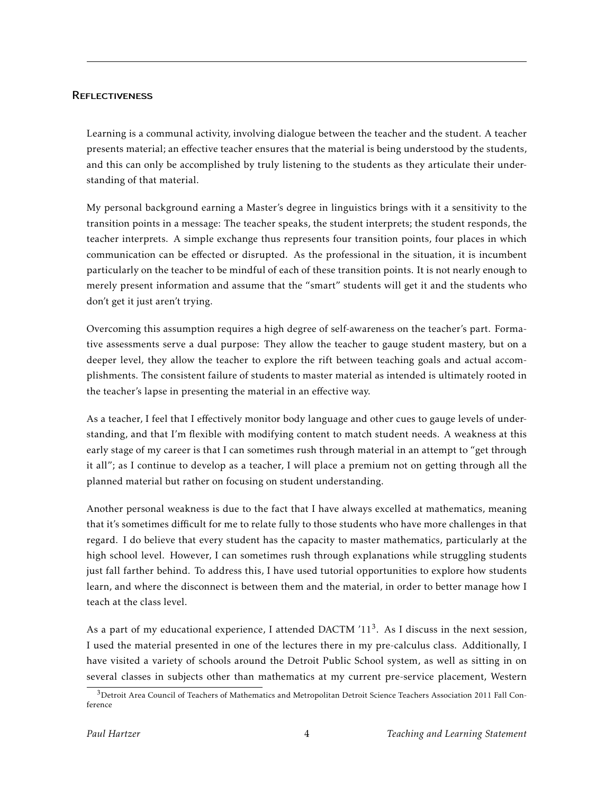## Reflectiveness

Learning is a communal activity, involving dialogue between the teacher and the student. A teacher presents material; an effective teacher ensures that the material is being understood by the students, and this can only be accomplished by truly listening to the students as they articulate their understanding of that material.

My personal background earning a Master's degree in linguistics brings with it a sensitivity to the transition points in a message: The teacher speaks, the student interprets; the student responds, the teacher interprets. A simple exchange thus represents four transition points, four places in which communication can be effected or disrupted. As the professional in the situation, it is incumbent particularly on the teacher to be mindful of each of these transition points. It is not nearly enough to merely present information and assume that the "smart" students will get it and the students who don't get it just aren't trying.

Overcoming this assumption requires a high degree of self-awareness on the teacher's part. Formative assessments serve a dual purpose: They allow the teacher to gauge student mastery, but on a deeper level, they allow the teacher to explore the rift between teaching goals and actual accomplishments. The consistent failure of students to master material as intended is ultimately rooted in the teacher's lapse in presenting the material in an effective way.

As a teacher, I feel that I effectively monitor body language and other cues to gauge levels of understanding, and that I'm flexible with modifying content to match student needs. A weakness at this early stage of my career is that I can sometimes rush through material in an attempt to "get through it all"; as I continue to develop as a teacher, I will place a premium not on getting through all the planned material but rather on focusing on student understanding.

Another personal weakness is due to the fact that I have always excelled at mathematics, meaning that it's sometimes difficult for me to relate fully to those students who have more challenges in that regard. I do believe that every student has the capacity to master mathematics, particularly at the high school level. However, I can sometimes rush through explanations while struggling students just fall farther behind. To address this, I have used tutorial opportunities to explore how students learn, and where the disconnect is between them and the material, in order to better manage how I teach at the class level.

As a part of my educational experience, I attended DACTM  $11^3$ . As I discuss in the next session, I used the material presented in one of the lectures there in my pre-calculus class. Additionally, I have visited a variety of schools around the Detroit Public School system, as well as sitting in on several classes in subjects other than mathematics at my current pre-service placement, Western

 $3$ Detroit Area Council of Teachers of Mathematics and Metropolitan Detroit Science Teachers Association 2011 Fall Conference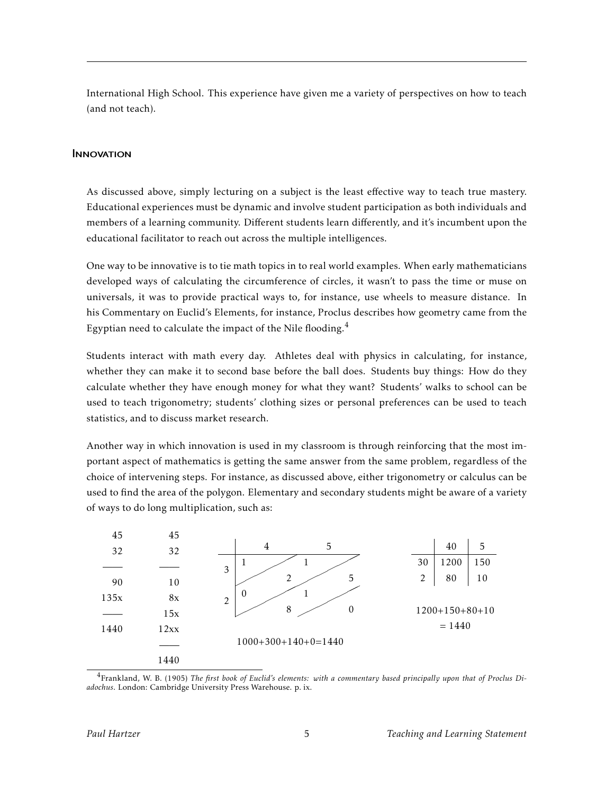International High School. This experience have given me a variety of perspectives on how to teach (and not teach).

#### **INNOVATION**

As discussed above, simply lecturing on a subject is the least effective way to teach true mastery. Educational experiences must be dynamic and involve student participation as both individuals and members of a learning community. Different students learn differently, and it's incumbent upon the educational facilitator to reach out across the multiple intelligences.

One way to be innovative is to tie math topics in to real world examples. When early mathematicians developed ways of calculating the circumference of circles, it wasn't to pass the time or muse on universals, it was to provide practical ways to, for instance, use wheels to measure distance. In his Commentary on Euclid's Elements, for instance, Proclus describes how geometry came from the Egyptian need to calculate the impact of the Nile flooding. $4$ 

Students interact with math every day. Athletes deal with physics in calculating, for instance, whether they can make it to second base before the ball does. Students buy things: How do they calculate whether they have enough money for what they want? Students' walks to school can be used to teach trigonometry; students' clothing sizes or personal preferences can be used to teach statistics, and to discuss market research.

Another way in which innovation is used in my classroom is through reinforcing that the most important aspect of mathematics is getting the same answer from the same problem, regardless of the choice of intervening steps. For instance, as discussed above, either trigonometry or calculus can be used to find the area of the polygon. Elementary and secondary students might be aware of a variety of ways to do long multiplication, such as:



<sup>4</sup>Frankland, W. B. (1905) *The first book of Euclid's elements: with a commentary based principally upon that of Proclus Diadochus*. London: Cambridge University Press Warehouse. p. ix.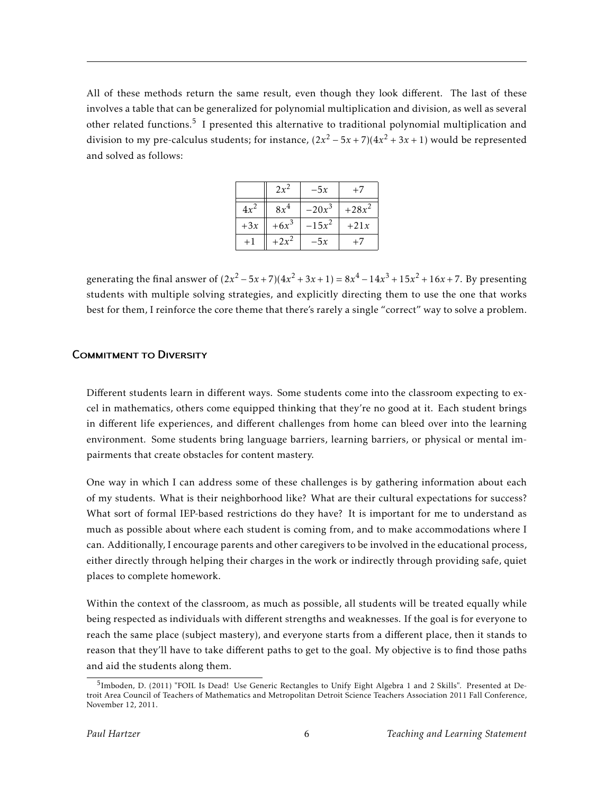All of these methods return the same result, even though they look different. The last of these involves a table that can be generalized for polynomial multiplication and division, as well as several other related functions.<sup>5</sup> I presented this alternative to traditional polynomial multiplication and division to my pre-calculus students; for instance,  $(2x^2 - 5x + 7)(4x^2 + 3x + 1)$  would be represented and solved as follows:

|        | $2x^2$  | $-5x$    | $+7$     |
|--------|---------|----------|----------|
| $4x^2$ | $8x^4$  | $-20x^3$ | $+28x^2$ |
| $+3x$  | $+6x^3$ | $-15x^2$ | $+21x$   |
|        | $+2x^2$ | $-5x$    |          |

generating the final answer of  $(2x^2 - 5x + 7)(4x^2 + 3x + 1) = 8x^4 - 14x^3 + 15x^2 + 16x + 7$ . By presenting students with multiple solving strategies, and explicitly directing them to use the one that works best for them, I reinforce the core theme that there's rarely a single "correct" way to solve a problem.

## Commitment to Diversity

Different students learn in different ways. Some students come into the classroom expecting to excel in mathematics, others come equipped thinking that they're no good at it. Each student brings in different life experiences, and different challenges from home can bleed over into the learning environment. Some students bring language barriers, learning barriers, or physical or mental impairments that create obstacles for content mastery.

One way in which I can address some of these challenges is by gathering information about each of my students. What is their neighborhood like? What are their cultural expectations for success? What sort of formal IEP-based restrictions do they have? It is important for me to understand as much as possible about where each student is coming from, and to make accommodations where I can. Additionally, I encourage parents and other caregivers to be involved in the educational process, either directly through helping their charges in the work or indirectly through providing safe, quiet places to complete homework.

Within the context of the classroom, as much as possible, all students will be treated equally while being respected as individuals with different strengths and weaknesses. If the goal is for everyone to reach the same place (subject mastery), and everyone starts from a different place, then it stands to reason that they'll have to take different paths to get to the goal. My objective is to find those paths and aid the students along them.

<sup>&</sup>lt;sup>5</sup>Imboden, D. (2011) "FOIL Is Dead! Use Generic Rectangles to Unify Eight Algebra 1 and 2 Skills". Presented at Detroit Area Council of Teachers of Mathematics and Metropolitan Detroit Science Teachers Association 2011 Fall Conference, November 12, 2011.